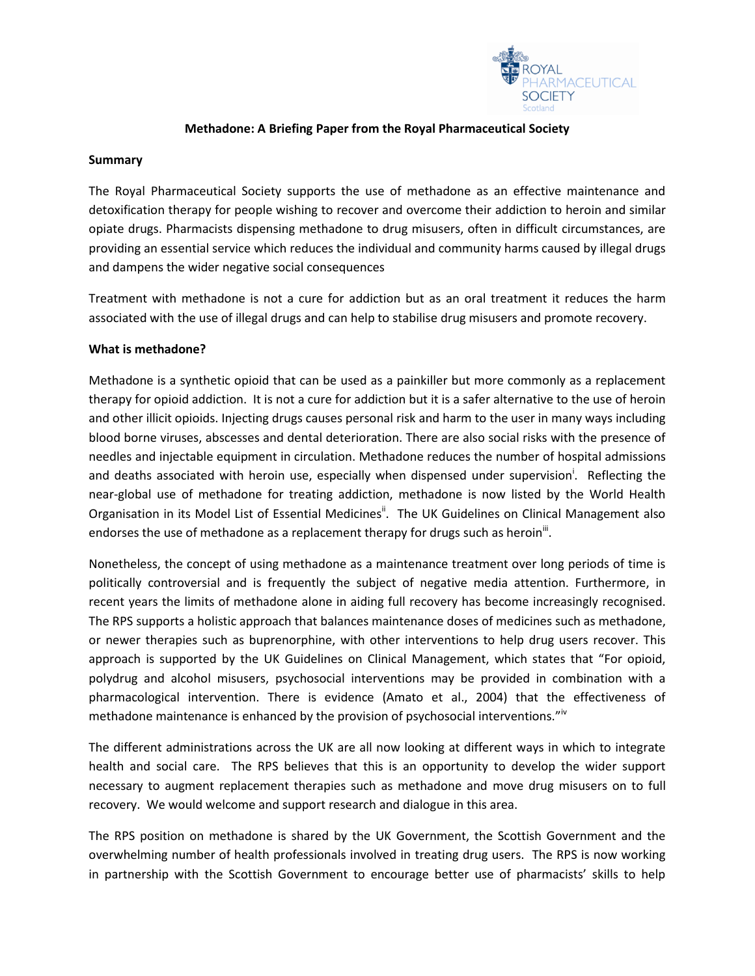

### **Methadone: A Briefing Paper from the Royal Pharmaceutical Society**

### **Summary**

The Royal Pharmaceutical Society supports the use of methadone as an effective maintenance and detoxification therapy for people wishing to recover and overcome their addiction to heroin and similar opiate drugs. Pharmacists dispensing methadone to drug misusers, often in difficult circumstances, are providing an essential service which reduces the individual and community harms caused by illegal drugs and dampens the wider negative social consequences

Treatment with methadone is not a cure for addiction but as an oral treatment it reduces the harm associated with the use of illegal drugs and can help to stabilise drug misusers and promote recovery.

### **What is methadone?**

Methadone is a synthetic opioid that can be used as a painkiller but more commonly as a replacement therapy for opioid addiction. It is not a cure for addiction but it is a safer alternative to the use of heroin and other illicit opioids. Injecting drugs causes personal risk and harm to the user in many ways including blood borne viruses, abscesses and dental deterioration. There are also social risks with the presence of needles and injectable equipment in circulation. Methadone reduces the number of hospital admissions and deaths associated with heroin use, especially when dispensed under supervision<sup>i</sup>. Reflecting the near-global use of methadone for treating addiction, methadone is now listed by the World Health Organisation in its Model List of Essential Medicines<sup>"</sup>. The UK Guidelines on Clinical Management also endorses the use of methadone as a replacement therapy for drugs such as heroin $^{\text{III}}$ .

Nonetheless, the concept of using methadone as a maintenance treatment over long periods of time is politically controversial and is frequently the subject of negative media attention. Furthermore, in recent years the limits of methadone alone in aiding full recovery has become increasingly recognised. The RPS supports a holistic approach that balances maintenance doses of medicines such as methadone, or newer therapies such as buprenorphine, with other interventions to help drug users recover. This approach is supported by the UK Guidelines on Clinical Management, which states that "For opioid, polydrug and alcohol misusers, psychosocial interventions may be provided in combination with a pharmacological intervention. There is evidence (Amato et al., 2004) that the effectiveness of methadone maintenance is enhanced by the provision of psychosocial interventions."<sup>iv</sup>

The different administrations across the UK are all now looking at different ways in which to integrate health and social care. The RPS believes that this is an opportunity to develop the wider support necessary to augment replacement therapies such as methadone and move drug misusers on to full recovery. We would welcome and support research and dialogue in this area.

The RPS position on methadone is shared by the UK Government, the Scottish Government and the overwhelming number of health professionals involved in treating drug users. The RPS is now working in partnership with the Scottish Government to encourage better use of pharmacists' skills to help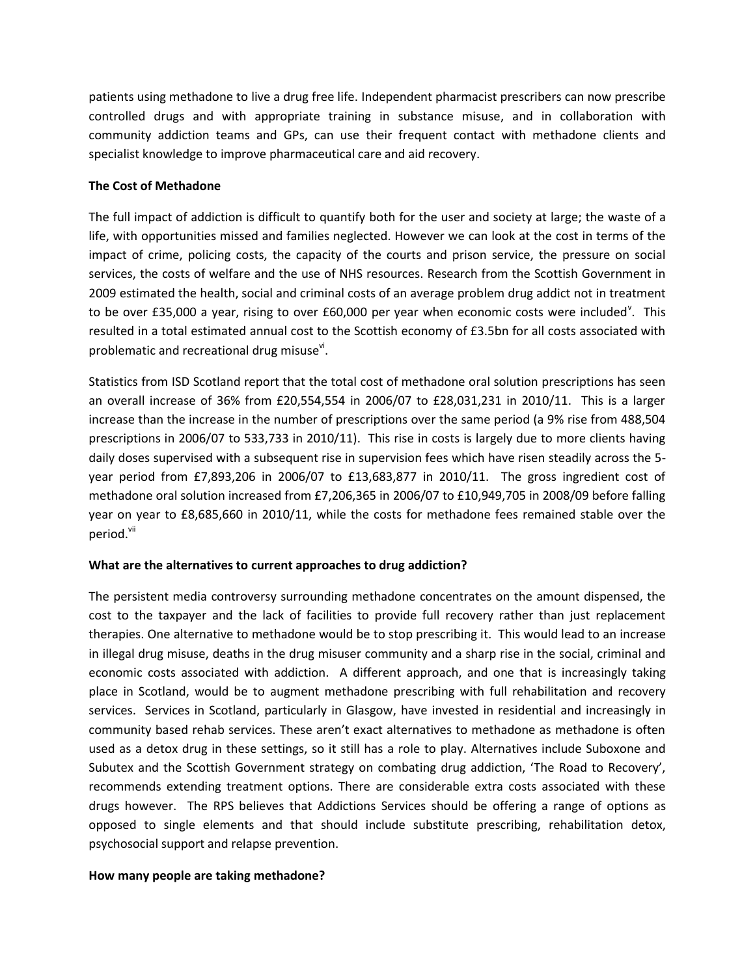patients using methadone to live a drug free life. Independent pharmacist prescribers can now prescribe controlled drugs and with appropriate training in substance misuse, and in collaboration with community addiction teams and GPs, can use their frequent contact with methadone clients and specialist knowledge to improve pharmaceutical care and aid recovery.

## **The Cost of Methadone**

The full impact of addiction is difficult to quantify both for the user and society at large; the waste of a life, with opportunities missed and families neglected. However we can look at the cost in terms of the impact of crime, policing costs, the capacity of the courts and prison service, the pressure on social services, the costs of welfare and the use of NHS resources. Research from the Scottish Government in 2009 estimated the health, social and criminal costs of an average problem drug addict not in treatment to be over £35,000 a year, rising to over £60,000 per year when economic costs were included<sup>v</sup>. This resulted in a total estimated annual cost to the Scottish economy of £3.5bn for all costs associated with problematic and recreational drug misuse<sup>vi</sup>.

Statistics from ISD Scotland report that the total cost of methadone oral solution prescriptions has seen an overall increase of 36% from £20,554,554 in 2006/07 to £28,031,231 in 2010/11. This is a larger increase than the increase in the number of prescriptions over the same period (a 9% rise from 488,504 prescriptions in 2006/07 to 533,733 in 2010/11). This rise in costs is largely due to more clients having daily doses supervised with a subsequent rise in supervision fees which have risen steadily across the 5 year period from £7,893,206 in 2006/07 to £13,683,877 in 2010/11. The gross ingredient cost of methadone oral solution increased from £7,206,365 in 2006/07 to £10,949,705 in 2008/09 before falling year on year to £8,685,660 in 2010/11, while the costs for methadone fees remained stable over the period.<sup>vii</sup>

## **What are the alternatives to current approaches to drug addiction?**

The persistent media controversy surrounding methadone concentrates on the amount dispensed, the cost to the taxpayer and the lack of facilities to provide full recovery rather than just replacement therapies. One alternative to methadone would be to stop prescribing it. This would lead to an increase in illegal drug misuse, deaths in the drug misuser community and a sharp rise in the social, criminal and economic costs associated with addiction. A different approach, and one that is increasingly taking place in Scotland, would be to augment methadone prescribing with full rehabilitation and recovery services. Services in Scotland, particularly in Glasgow, have invested in residential and increasingly in community based rehab services. These aren't exact alternatives to methadone as methadone is often used as a detox drug in these settings, so it still has a role to play. Alternatives include Suboxone and Subutex and the Scottish Government strategy on combating drug addiction, 'The Road to Recovery', recommends extending treatment options. There are considerable extra costs associated with these drugs however. The RPS believes that Addictions Services should be offering a range of options as opposed to single elements and that should include substitute prescribing, rehabilitation detox, psychosocial support and relapse prevention.

## **How many people are taking methadone?**